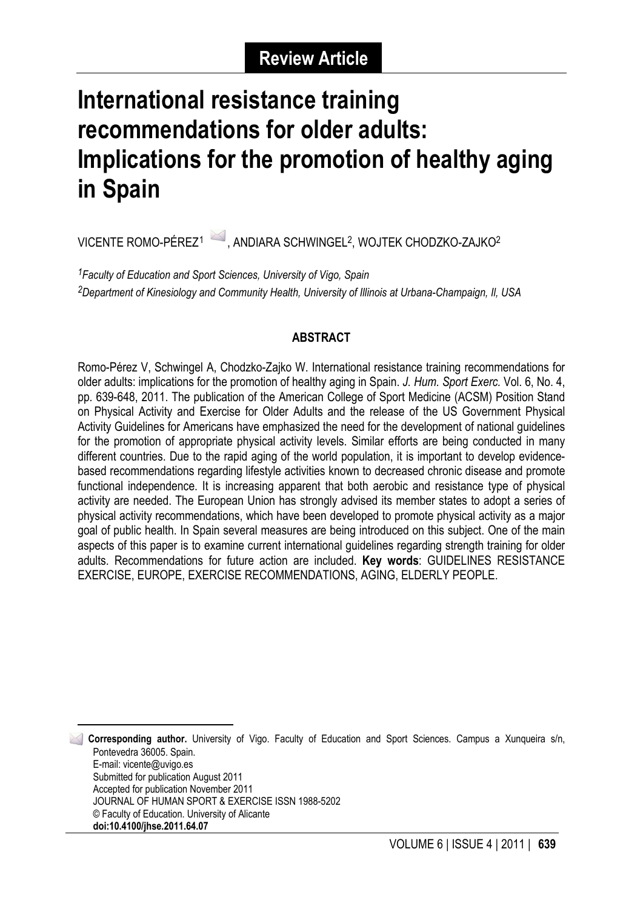# **International resistance training recommendations for older adults: Implications for the promotion of healthy aging in Spain**

VICENTE ROMO-PÉREZ<sup>1</sup> , ANDIARA SCHWINGEL<sup>2</sup>, WOJTEK CHODZKO-ZAJKO<sup>2</sup>

*1Faculty of Education and Sport Sciences, University of Vigo, Spain 2Department of Kinesiology and Community Health, University of Illinois at Urbana-Champaign, Il, USA*

## **ABSTRACT**

Romo-Pérez V, Schwingel A, Chodzko-Zajko W. International resistance training recommendations for older adults: implications for the promotion of healthy aging in Spain. *J. Hum. Sport Exerc.* Vol. 6, No. 4, pp. 639-648, 2011. The publication of the American College of Sport Medicine (ACSM) Position Stand on Physical Activity and Exercise for Older Adults and the release of the US Government Physical Activity Guidelines for Americans have emphasized the need for the development of national guidelines for the promotion of appropriate physical activity levels. Similar efforts are being conducted in many different countries. Due to the rapid aging of the world population, it is important to develop evidencebased recommendations regarding lifestyle activities known to decreased chronic disease and promote functional independence. It is increasing apparent that both aerobic and resistance type of physical activity are needed. The European Union has strongly advised its member states to adopt a series of physical activity recommendations, which have been developed to promote physical activity as a major goal of public health. In Spain several measures are being introduced on this subject. One of the main aspects of this paper is to examine current international guidelines regarding strength training for older adults. Recommendations for future action are included. **Key words**: GUIDELINES RESISTANCE EXERCISE, EUROPE, EXERCISE RECOMMENDATIONS, AGING, ELDERLY PEOPLE.

<span id="page-0-0"></span> 1 **Corresponding author.** University of Vigo. Faculty of Education and Sport Sciences. Campus a Xunqueira s/n, Pontevedra 36005. Spain. E-mail: vicente@uvigo.es Submitted for publication August 2011 Accepted for publication November 2011 JOURNAL OF HUMAN SPORT & EXERCISE ISSN 1988-5202 © Faculty of Education. University of Alicante **doi:10.4100/jhse.2011.64.07**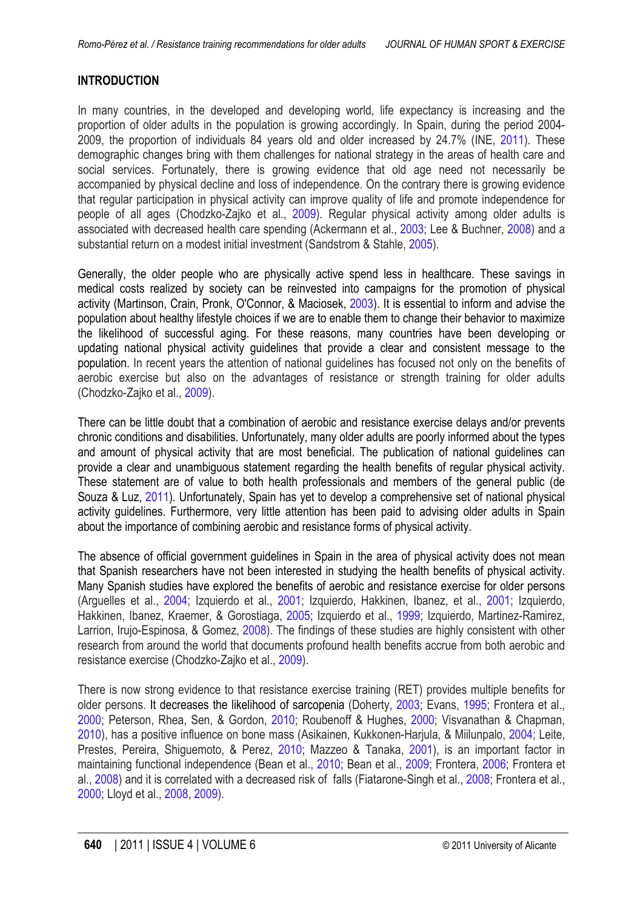# <span id="page-1-0"></span>**INTRODUCTION**

In many countries, in the developed and developing world, life expectancy is increasing and the proportion of older adults in the population is growing accordingly. In Spain, during the period 2004- 2009, the proportion of individuals 84 years old and older increased by 24.7% (INE, [2011](#page-6-8)). These demographic changes bring with them challenges for national strategy in the areas of health care and social services. Fortunately, there is growing evidence that old age need not necessarily be accompanied by physical decline and loss of independence. On the contrary there is growing evidence that regular participation in physical activity can improve quality of life and promote independence for people of all ages (Chodzko-Zajko et al., [2009\)](#page-6-8). Regular physical activity among older adults is associated with decreased health care spending (Ackermann et al., [2003;](#page-5-0) Lee & Buchner, [2008\)](#page-7-0) and a substantial return on a modest initial investment (Sandstrom & Stahle, [2005\)](#page-8-0).

Generally, the older people who are physically active spend less in healthcare. These savings in medical costs realized by society can be reinvested into campaigns for the promotion of physical activity (Martinson, Crain, Pronk, O'Connor, & Maciosek, [2003\)](#page-8-4). It is essential to inform and advise the population about healthy lifestyle choices if we are to enable them to change their behavior to maximize the likelihood of successful aging. For these reasons, many countries have been developing or updating national physical activity guidelines that provide a clear and consistent message to the population. In recent years the attention of national guidelines has focused not only on the benefits of aerobic exercise but also on the advantages of resistance or strength training for older adults (Chodzko-Zajko et al., [2009\)](#page-6-8).

There can be little doubt that a combination of aerobic and resistance exercise delays and/or prevents chronic conditions and disabilities. Unfortunately, many older adults are poorly informed about the types and amount of physical activity that are most beneficial. The publication of national guidelines can provide a clear and unambiguous statement regarding the health benefits of regular physical activity. These statement are of value to both health professionals and members of the general public (de Souza & Luz, [2011\)](#page-6-0). Unfortunately, Spain has yet to develop a comprehensive set of national physical activity guidelines. Furthermore, very little attention has been paid to advising older adults in Spain about the importance of combining aerobic and resistance forms of physical activity.

The absence of official government guidelines in Spain in the area of physical activity does not mean that Spanish researchers have not been interested in studying the health benefits of physical activity. Many Spanish studies have explored the benefits of aerobic and resistance exercise for older persons (Arguelles et al., [2004;](#page-5-1) Izquierdo et al., [2001;](#page-7-1) Izquierdo, Hakkinen, Ibanez, et al., [2001;](#page-7-2) Izquierdo, Hakkinen, Ibanez, Kraemer, & Gorostiaga, [2005;](#page-7-3) Izquierdo et al., [1999;](#page-7-4) Izquierdo, Martinez-Ramirez, Larrion, Irujo-Espinosa, & Gomez, [2008\)](#page-7-5). The findings of these studies are highly consistent with other research from around the world that documents profound health benefits accrue from both aerobic and resistance exercise (Chodzko-Zajko et al., [2009\)](#page-6-1).

There is now strong evidence to that resistance exercise training (RET) provides multiple benefits for older persons. It decreases the likelihood of sarcopenia (Doherty, [2003;](#page-6-2) Evans, [1995;](#page-6-3) Frontera et al., [2000;](#page-6-4) Peterson, Rhea, Sen, & Gordon, [2010;](#page-8-1) Roubenoff & Hughes, [2000;](#page-8-2) Visvanathan & Chapman, [2010\)](#page-9-0), has a positive influence on bone mass (Asikainen, Kukkonen-Harjula, & Miilunpalo, [2004;](#page-5-2) Leite, Prestes, Pereira, Shiguemoto, & Perez, [2010;](#page-7-6) Mazzeo & Tanaka, [2001\)](#page-8-3), is an important factor in maintaining functional independence (Bean et al., [2010;](#page-5-3) Bean et al., [2009;](#page-5-4) Frontera, [2006;](#page-6-5) Frontera et al., [2008\)](#page-6-6) and it is correlated with a decreased risk of falls (Fiatarone-Singh et al., [2008;](#page-6-7) Frontera et al., [2000;](#page-6-4) Lloyd et al., [2008,](#page-7-7) [2009\)](#page-7-8).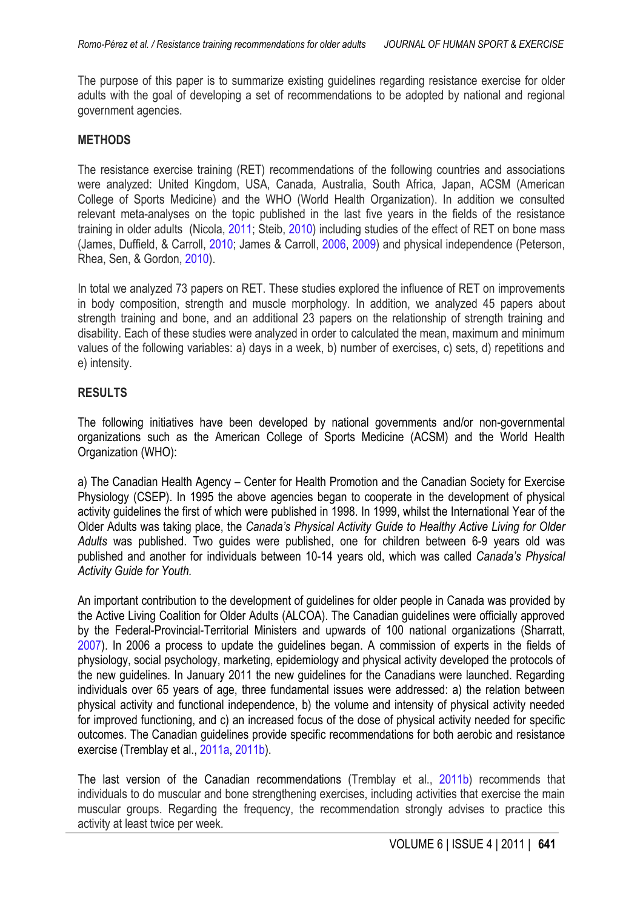<span id="page-2-0"></span>The purpose of this paper is to summarize existing guidelines regarding resistance exercise for older adults with the goal of developing a set of recommendations to be adopted by national and regional government agencies.

#### **METHODS**

The resistance exercise training (RET) recommendations of the following countries and associations were analyzed: United Kingdom, USA, Canada, Australia, South Africa, Japan, ACSM (American College of Sports Medicine) and the WHO (World Health Organization). In addition we consulted relevant meta-analyses on the topic published in the last five years in the fields of the resistance training in older adults (Nicola, [2011;](#page-8-5) Steib, [2010\)](#page-8-6) including studies of the effect of RET on bone mass (James, Duffield, & Carroll, [2010;](#page-7-9) James & Carroll, [2006](#page-7-10), [2009](#page-7-10)) and physical independence (Peterson, Rhea, Sen, & Gordon, [2010\)](#page-8-1).

In total we analyzed 73 papers on RET. These studies explored the influence of RET on improvements in body composition, strength and muscle morphology. In addition, we analyzed 45 papers about strength training and bone, and an additional 23 papers on the relationship of strength training and disability. Each of these studies were analyzed in order to calculated the mean, maximum and minimum values of the following variables: a) days in a week, b) number of exercises, c) sets, d) repetitions and e) intensity.

#### **RESULTS**

The following initiatives have been developed by national governments and/or non-governmental organizations such as the American College of Sports Medicine (ACSM) and the World Health Organization (WHO):

a) The Canadian Health Agency – Center for Health Promotion and the Canadian Society for Exercise Physiology (CSEP). In 1995 the above agencies began to cooperate in the development of physical activity guidelines the first of which were published in 1998. In 1999, whilst the International Year of the Older Adults was taking place, the *Canada's Physical Activity Guide to Healthy Active Living for Older Adults* was published. Two guides were published, one for children between 6-9 years old was published and another for individuals between 10-14 years old, which was called *Canada's Physical Activity Guide for Youth.*

An important contribution to the development of guidelines for older people in Canada was provided by the Active Living Coalition for Older Adults (ALCOA). The Canadian guidelines were officially approved by the Federal-Provincial-Territorial Ministers and upwards of 100 national organizations (Sharratt, [2007\)](#page-8-7). In 2006 a process to update the guidelines began. A commission of experts in the fields of physiology, social psychology, marketing, epidemiology and physical activity developed the protocols of the new guidelines. In January 2011 the new guidelines for the Canadians were launched. Regarding individuals over 65 years of age, three fundamental issues were addressed: a) the relation between physical activity and functional independence, b) the volume and intensity of physical activity needed for improved functioning, and c) an increased focus of the dose of physical activity needed for specific outcomes. The Canadian guidelines provide specific recommendations for both aerobic and resistance exercise (Tremblay et al., [2011a,](#page-8-8) [2011b\)](#page-8-9).

The last version of the Canadian recommendations (Tremblay et al., [2011b\)](#page-8-9) recommends that individuals to do muscular and bone strengthening exercises, including activities that exercise the main muscular groups. Regarding the frequency, the recommendation strongly advises to practice this activity at least twice per week.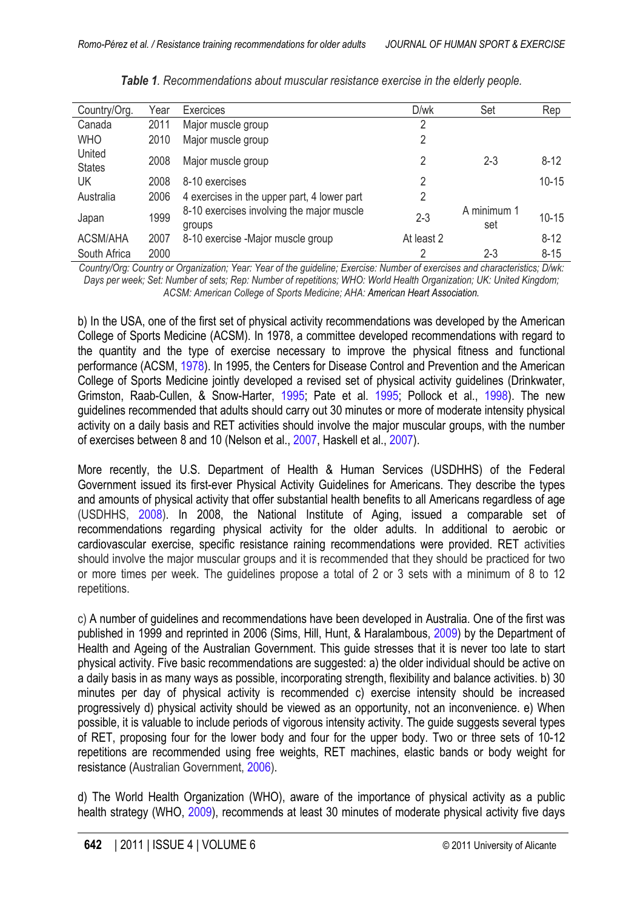<span id="page-3-0"></span>

| Country/Org.            | Year | Exercices                                           | D/wk       | Set                | Rep       |
|-------------------------|------|-----------------------------------------------------|------------|--------------------|-----------|
| Canada                  | 2011 | Major muscle group                                  | 2          |                    |           |
| <b>WHO</b>              | 2010 | Major muscle group                                  | 2          |                    |           |
| United<br><b>States</b> | 2008 | Major muscle group                                  | 2          | $2 - 3$            | $8 - 12$  |
| UK                      | 2008 | 8-10 exercises                                      | 2          |                    | $10 - 15$ |
| Australia               | 2006 | 4 exercises in the upper part, 4 lower part         | 2          |                    |           |
| Japan                   | 1999 | 8-10 exercises involving the major muscle<br>groups | $2 - 3$    | A minimum 1<br>set | $10 - 15$ |
| <b>ACSM/AHA</b>         | 2007 | 8-10 exercise -Major muscle group                   | At least 2 |                    | $8 - 12$  |
| South Africa            | 2000 |                                                     | 2          | $2 - 3$            | $8 - 15$  |

*Table 1. Recommendations about muscular resistance exercise in the elderly people.*

*Country/Org: Country or Organization; Year: Year of the guideline; Exercise: Number of exercises and characteristics; D/wk: Days per week; Set: Number of sets; Rep: Number of repetitions; WHO: World Health Organization; UK: United Kingdom; ACSM: American College of Sports Medicine; AHA: American Heart Association.*

b) In the USA, one of the first set of physical activity recommendations was developed by the American College of Sports Medicine (ACSM). In 1978, a committee developed recommendations with regard to the quantity and the type of exercise necessary to improve the physical fitness and functional performance (ACSM, [1978](#page-5-5)). In 1995, the Centers for Disease Control and Prevention and the American College of Sports Medicine jointly developed a revised set of physical activity guidelines (Drinkwater, Grimston, Raab-Cullen, & Snow-Harter, [1995;](#page-6-9) Pate et al. [1995](#page-8-4); Pollock et al., [1998\)](#page-8-10). The new guidelines recommended that adults should carry out 30 minutes or more of moderate intensity physical activity on a daily basis and RET activities should involve the major muscular groups, with the number of exercises between 8 and 10 (Nelson et al., [2007,](#page-8-4) Haskell et al., [2007\)](#page-6-8).

More recently, the U.S. Department of Health & Human Services (USDHHS) of the Federal Government issued its first-ever Physical Activity Guidelines for Americans. They describe the types and amounts of physical activity that offer substantial health benefits to all Americans regardless of age (USDHHS, [2008\)](#page-8-11). In 2008, the National Institute of Aging, issued a comparable set of recommendations regarding physical activity for the older adults. In additional to aerobic or cardiovascular exercise, specific resistance raining recommendations were provided. RET activities should involve the major muscular groups and it is recommended that they should be practiced for two or more times per week. The guidelines propose a total of 2 or 3 sets with a minimum of 8 to 12 repetitions.

c) A number of guidelines and recommendations have been developed in Australia. One of the first was published in 1999 and reprinted in 2006 (Sims, Hill, Hunt, & Haralambous, [2009\)](#page-8-12) by the Department of Health and Ageing of the Australian Government. This guide stresses that it is never too late to start physical activity. Five basic recommendations are suggested: a) the older individual should be active on a daily basis in as many ways as possible, incorporating strength, flexibility and balance activities. b) 30 minutes per day of physical activity is recommended c) exercise intensity should be increased progressively d) physical activity should be viewed as an opportunity, not an inconvenience. e) When possible, it is valuable to include periods of vigorous intensity activity. The guide suggests several types of RET, proposing four for the lower body and four for the upper body. Two or three sets of 10-12 repetitions are recommended using free weights, RET machines, elastic bands or body weight for resistance (Australian Government, [2006\)](#page-5-5).

d) The World Health Organization (WHO), aware of the importance of physical activity as a public health strategy (WHO, [2009\)](#page-9-1), recommends at least 30 minutes of moderate physical activity five days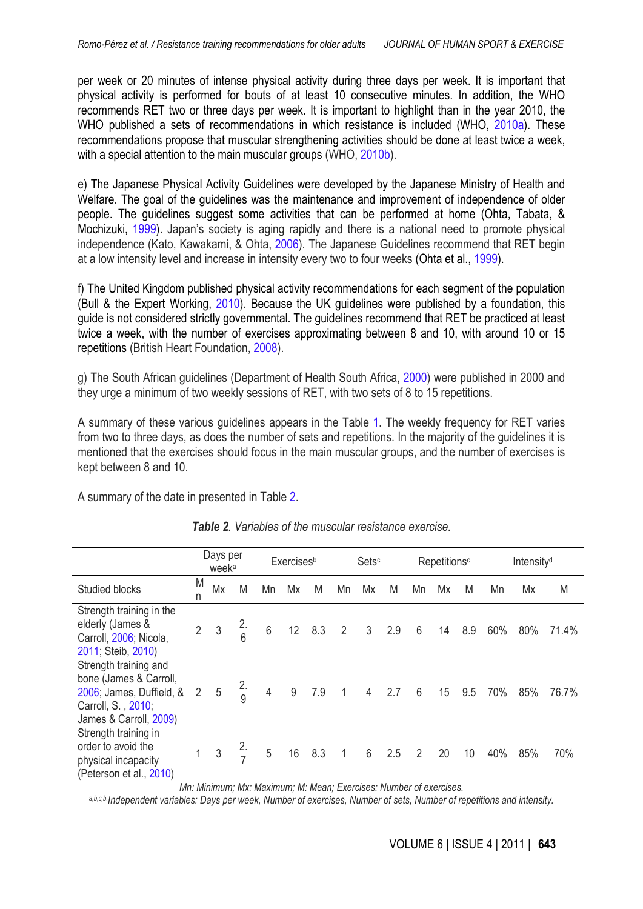<span id="page-4-0"></span>per week or 20 minutes of intense physical activity during three days per week. It is important that physical activity is performed for bouts of at least 10 consecutive minutes. In addition, the WHO recommends RET two or three days per week. It is important to highlight than in the year 2010, the WHO published a sets of recommendations in which resistance is included (WHO, [2010a\)](#page-9-2). These recommendations propose that muscular strengthening activities should be done at least twice a week, with a special attention to the main muscular groups (WHO[, 2010b\)](#page-9-3).

e) The Japanese Physical Activity Guidelines were developed by the Japanese Ministry of Health and Welfare. The goal of the guidelines was the maintenance and improvement of independence of older people. The quidelines suggest some activities that can be performed at home (Ohta, Tabata, & Mochizuki, [1999\)](#page-8-13). Japan's society is aging rapidly and there is a national need to promote physical independence (Kato, Kawakami, & Ohta[, 2006\)](#page-7-11). The Japanese Guidelines recommend that RET begin at a low intensity level and increase in intensity every two to four weeks (Ohta et al., [1999\)](#page-8-13).

f) The United Kingdom published physical activity recommendations for each segment of the population (Bull & the Expert Working, [2010\)](#page-6-10). Because the UK guidelines were published by a foundation, this guide is not considered strictly governmental. The guidelines recommend that RET be practiced at least twice a week, with the number of exercises approximating between 8 and 10, with around 10 or 15 repetitions (British Heart Foundation, [2008\)](#page-6-11).

g) The South African guidelines (Department of Health South Africa, [2000\)](#page-6-12) were published in 2000 and they urge a minimum of two weekly sessions of RET, with two sets of 8 to 15 repetitions.

A summary of these various guidelines appears in the Table [1.](#page-3-0) The weekly frequency for RET varies from two to three days, as does the number of sets and repetitions. In the majority of the guidelines it is mentioned that the exercises should focus in the main muscular groups, and the number of exercises is kept between 8 and 10.

A summary of the date in presented in Table 2.

|                                                                                                                             | Days per<br>week <sup>a</sup> |    |               | <b>Exercises</b> <sup>b</sup> |                  | Setsc |                | Repetitions <sup>c</sup> |     | Intensity <sup>d</sup> |    |     |     |     |       |
|-----------------------------------------------------------------------------------------------------------------------------|-------------------------------|----|---------------|-------------------------------|------------------|-------|----------------|--------------------------|-----|------------------------|----|-----|-----|-----|-------|
| <b>Studied blocks</b>                                                                                                       | M<br>n                        | Mx | M             | Mn                            | Mx               | M     | Mn             | Mx                       | M   | Mn                     | Mx | M   | Mn  | Mx  | M     |
| Strength training in the<br>elderly (James &<br>Carroll, 2006; Nicola,<br>2011; Steib, 2010)                                | $\overline{2}$                | 3  |               | 6                             | 12               | 8.3   | $\overline{2}$ | $\mathfrak{Z}$           | 2.9 | 6                      | 14 | 8.9 | 60% | 80% | 71.4% |
| Strength training and<br>bone (James & Carroll,<br>2006; James, Duffield, &<br>Carroll, S., 2010;<br>James & Carroll, 2009) | 2                             | 5  | $\frac{2}{9}$ | 4                             | $\boldsymbol{9}$ | 7.9   | $\mathbf{1}$   | $\overline{4}$           | 2.7 | $6\,$                  | 15 | 9.5 | 70% | 85% | 76.7% |
| Strength training in<br>order to avoid the<br>physical incapacity<br>(Peterson et al., 2010)                                |                               | 3  |               | 5                             | 16               | 8.3   | 1              | 6                        | 2.5 | $\overline{2}$         | 20 | 10  | 40% | 85% | 70%   |

*Table 2. Variables of the muscular resistance exercise.*

*Mn: Minimum; Mx: Maximum; M: Mean; Exercises: Number of exercises.*

*a,b,c,b.Independent variables: Days per week, Number of exercises, Number of sets, Number of repetitions and intensity.*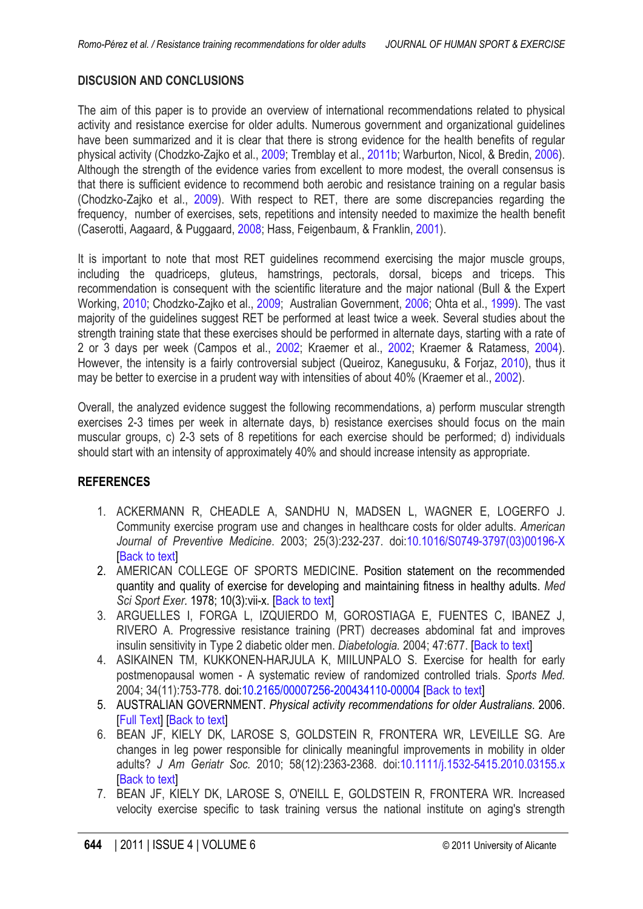## <span id="page-5-5"></span>**DISCUSION AND CONCLUSIONS**

The aim of this paper is to provide an overview of international recommendations related to physical activity and resistance exercise for older adults. Numerous government and organizational guidelines have been summarized and it is clear that there is strong evidence for the health benefits of regular physical activity (Chodzko-Zajko et al., [2009;](#page-6-1) Tremblay et al., [2011b;](#page-8-9) Warburton, Nicol, & Bredin, [2006\)](#page-9-4). Although the strength of the evidence varies from excellent to more modest, the overall consensus is that there is sufficient evidence to recommend both aerobic and resistance training on a regular basis (Chodzko-Zajko et al., [2009\)](#page-6-1). With respect to RET, there are some discrepancies regarding the frequency, number of exercises, sets, repetitions and intensity needed to maximize the health benefit (Caserotti, Aagaard, & Puggaard, [2008;](#page-6-13) Hass, Feigenbaum, & Franklin, [200](#page-7-10)[1\).](#page-6-8)

It is important to note that most RET quidelines recommend exercising the major muscle groups, including the quadriceps, gluteus, hamstrings, pectorals, dorsal, biceps and triceps. This recommendation is consequent with the scientific literature and the major national (Bull & the Expert Working, [2010;](#page-6-10) Chodzko-Zajko et al., [2009;](#page-6-1) Australian Government, [2006;](#page-5-6) Ohta et al., [1999\)](#page-8-13). The vast majority of the guidelines suggest RET be performed at least twice a week. Several studies about the strength training state that these exercises should be performed in alternate days, starting with a rate of 2 or 3 days per week (Campos et al., [2002;](#page-6-14) Kraemer et al., [2002;](#page-7-12) Kraemer & Ratamess, [2004\)](#page-7-13). However, the intensity is a fairly controversial subject (Queiroz, Kanegusuku, & Forjaz, [2010\)](#page-8-14), thus it may be better to exercise in a prudent way with intensities of about 40% (Kraemer et al., [2002\)](#page-7-12).

Overall, the analyzed evidence suggest the following recommendations, a) perform muscular strength exercises 2-3 times per week in alternate days, b) resistance exercises should focus on the main muscular groups, c) 2-3 sets of 8 repetitions for each exercise should be performed; d) individuals should start with an intensity of approximately 40% and should increase intensity as appropriate.

## **REFERENCES**

- <span id="page-5-0"></span>1. ACKERMANN R, CHEADLE A, SANDHU N, MADSEN L, WAGNER E, LOGERFO J. Community exercise program use and changes in healthcare costs for older adults. *American Journal of Preventive Medicine*. 2003; 25(3):232-237. doi[:10.1016/S0749-3797\(03\)00196-X](http://dx.doi.org/10.1016/S0749-3797(03)00196-X) [[Back to text](#page-1-0)]
- 2. AMERICAN COLLEGE OF SPORTS MEDICINE. Position statement on the recommended quantity and quality of exercise for developing and maintaining fitness in healthy adults. *Med Sci Sport Exer.* 1978; 10(3):vii-x. [\[Back to text\]](#page-3-0)
- <span id="page-5-1"></span>3. ARGUELLES I, FORGA L, IZQUIERDO M, GOROSTIAGA E, FUENTES C, IBANEZ J, RIVERO A. Progressive resistance training (PRT) decreases abdominal fat and improves insulin sensitivity in Type 2 diabetic older men. *Diabetologia.* 2004; 47:677. [[Back to text](#page-1-0)]
- <span id="page-5-2"></span>4. ASIKAINEN TM, KUKKONEN-HARJULA K, MIILUNPALO S. Exercise for health for early postmenopausal women - A systematic review of randomized controlled trials. *Sports Med.* 2004; 34(11):753-778. doi[:10.2165/00007256-200434110-00004](http://dx.doi.org/10.2165/00007256-200434110-00004) [[Back to text](#page-1-0)]
- <span id="page-5-6"></span>5. AUSTRALIAN GOVERNMENT. *Physical activity recommendations for older Australians*. 2006. [\[Full Text\]](http://www.health.gov.au/internet/main/publishing.nsf/content/health-pubhlth-strateg-phys-act-guidelines) [[Back to text](#page-3-0)]
- <span id="page-5-3"></span>6. BEAN JF, KIELY DK, LAROSE S, GOLDSTEIN R, FRONTERA WR, LEVEILLE SG. Are changes in leg power responsible for clinically meaningful improvements in mobility in older adults? *J Am Geriatr Soc.* 2010; 58(12):2363-2368. doi[:10.1111/j.1532-5415.2010.03155.x](http://dx.doi.org/10.1111/j.1532-5415.2010.03155.x) [[Back to text](#page-1-0)]
- <span id="page-5-4"></span>7. BEAN JF, KIELY DK, LAROSE S, O'NEILL E, GOLDSTEIN R, FRONTERA WR. Increased velocity exercise specific to task training versus the national institute on aging's strength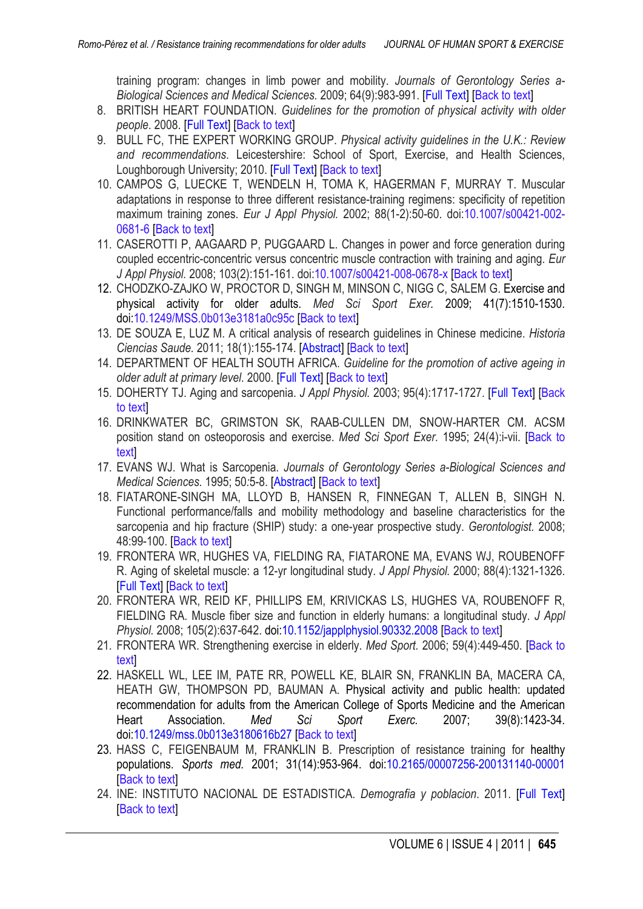<span id="page-6-8"></span>training program: changes in limb power and mobility. *Journals of Gerontology Series a-Biological Sciences and Medical Sciences.* 2009; 64(9):983-991. [\[Full Text\]](http://www.ncbi.nlm.nih.gov/pmc/articles/PMC2720885/?tool=pubmed) [[Back to text](#page-1-0)]

- <span id="page-6-11"></span>8. BRITISH HEART FOUNDATION. *Guidelines for the promotion of physical activity with older people*. 2008. [\[Full Text\]](http://www.sportacrossstaffordshire.co.uk/live/images/cme_resources/Public/Health%20Strategies/BHF-Older-people.pdf) [\[Back to text\]](#page-4-0)
- <span id="page-6-10"></span>9. BULL FC, THE EXPERT WORKING GROUP. *Physical activity guidelines in the U.K.: Review and recommendations*. Leicestershire: School of Sport, Exercise, and Health Sciences, Loughborough University; 2010. [\[Full Text\]](http://www.dh.gov.uk/prod_consum_dh/groups/dh_digitalassets/documents/digitalasset/dh_128255.pdf) [[Back to text](#page-4-0)]
- <span id="page-6-14"></span>10. CAMPOS G, LUECKE T, WENDELN H, TOMA K, HAGERMAN F, MURRAY T. Muscular adaptations in response to three different resistance-training regimens: specificity of repetition maximum training zones. *Eur J Appl Physiol.* 2002; 88(1-2):50-60. doi[:10.1007/s00421-002-](http://dx.doi.org/10.1007/s00421-002-0681-6) [0681-6](http://dx.doi.org/10.1007/s00421-002-0681-6) [\[Back to text\]](#page-5-5)
- <span id="page-6-13"></span>11. CASEROTTI P, AAGAARD P, PUGGAARD L. Changes in power and force generation during coupled eccentric-concentric versus concentric muscle contraction with training and aging. *Eur J Appl Physiol.* 2008; 103(2):151-161. doi[:10.1007/s00421-008-0678-x](http://dx.doi.org/10.1007/s00421-008-0678-x) [\[](#page-5-5)[Back to text\]](#page-4-0)
- <span id="page-6-1"></span>12. CHODZKO-ZAJKO W, PROCTOR D, SINGH M, MINSON C, NIGG C, SALEM G. Exercise and physical activity for older adults. *Med Sci Sport Exer.* 2009; 41(7):1510-1530. doi[:10.1249/MSS.0b013e3181a0c95c](http://dx.doi.org/10.1249/MSS.0b013e3181a0c95c) [\[Back to text\]](#page-1-0)
- <span id="page-6-0"></span>13. DE SOUZA E, LUZ M. A critical analysis of research guidelines in Chinese medicine. *Historia Ciencias Saude.* 2011; 18(1):155-174. [\[Abstract\]](http://www.ncbi.nlm.nih.gov/pubmed/21552695) [\[Back to text\]](#page-1-0)
- <span id="page-6-12"></span>14. DEPARTMENT OF HEALTH SOUTH AFRICA. *Guideline for the promotion of active ageing in older adult at primary level*. 2000. [\[Full Text\]](http://www.westerncape.gov.za/Text/2003/ageing.pdf) [[Back to text](#page-4-0)]
- <span id="page-6-2"></span>15. [DOHERTY TJ. Aging and sarcopenia.](#page-1-0) *J Appl Physiol.* 2003; 95(4):1717-1727. [\[Full Text\]](http://jap.physiology.org/content/95/4/1717.long) [Back to text]
- <span id="page-6-9"></span>16. DRINKWATER BC, GRIMSTON SK, RAAB-CULLEN DM, SNOW-HARTER CM. ACSM [position stand on osteoporosis and exercise.](#page-3-0) *Med Sci Sport Exer.* 1995; 24(4):i-vii. [Back to text]
- <span id="page-6-3"></span>17. EVANS WJ. What is Sarcopenia. *Journals of Gerontology Series a-Biological Sciences and Medical Sciences.* 1995; 50*:*5-8. [\[Abstract\]](http://www.ncbi.nlm.nih.gov/pubmed/7493218) [[Back to text](#page-1-0)]
- <span id="page-6-7"></span>18. FIATARONE-SINGH MA, LLOYD B, HANSEN R, FINNEGAN T, ALLEN B, SINGH N. Functional performance/falls and mobility methodology and baseline characteristics for the sarcopenia and hip fracture (SHIP) study: a one-year prospective study. *Gerontologist.* 2008; 48:99-100. [\[Back to text\]](#page-1-0)
- <span id="page-6-4"></span>19. FRONTERA WR, HUGHES VA, FIELDING RA, FIATARONE MA, EVANS WJ, ROUBENOFF R. Aging of skeletal muscle: a 12-yr longitudinal study. *J Appl Physiol.* 2000; 88(4):1321-1326. [\[Full Text\]](http://jap.physiology.org/content/88/4/1321.full.pdf+html) [[Back to text](#page-1-0)]
- <span id="page-6-6"></span>20. FRONTERA WR, REID KF, PHILLIPS EM, KRIVICKAS LS, HUGHES VA, ROUBENOFF R, FIELDING RA. Muscle fiber size and function in elderly humans: a longitudinal study. *J Appl Physiol.* 2008; 105(2):637-642. doi[:10.1152/japplphysiol.90332.2008](http://dx.doi.org/10.1152/japplphysiol.90332.2008) [\[Back to text\]](#page-1-0)
- <span id="page-6-5"></span>21. FRONTERA WR. Strengthening exercise in elderly. *Med Sport.* 2006; 59(4):449-450. [\[Back to](#page-1-0) [text\]](#page-1-0)
- 22. HASKELL WL, LEE IM, PATE RR, POWELL KE, BLAIR SN, FRANKLIN BA, MACERA CA, HEATH GW, THOMPSON PD, BAUMAN A. Physical activity and public health: updated recommendation for adults from the American College of Sports Medicine and the American Heart Association. *Med Sci Sport Exerc.* 2007; 39(8):1423-34. doi[:10.1249/mss.0b013e3180616b27](http://dx.doi.org/10.1249/mss.0b013e3180616b27) [[Back to text](#page-3-0)]
- 23. HASS C, FEIGENBAUM M, FRANKLIN B. Prescription of resistance training for healthy populations. *Sports med.* 2001; 31(14):953-964. doi[:10.2165/00007256-200131140-00001](http://dx.doi.org/10.2165/00007256-200131140-00001) [[Back to text](#page-5-5)]
- 24. INE: INSTITUTO NACIONAL DE ESTADISTICA. *Demografia y poblacion*. 2011. [\[Full Text\]](http://www.ine.es/inebmenu/mnu_cifraspob.htm) [[Back to text](#page-1-0)]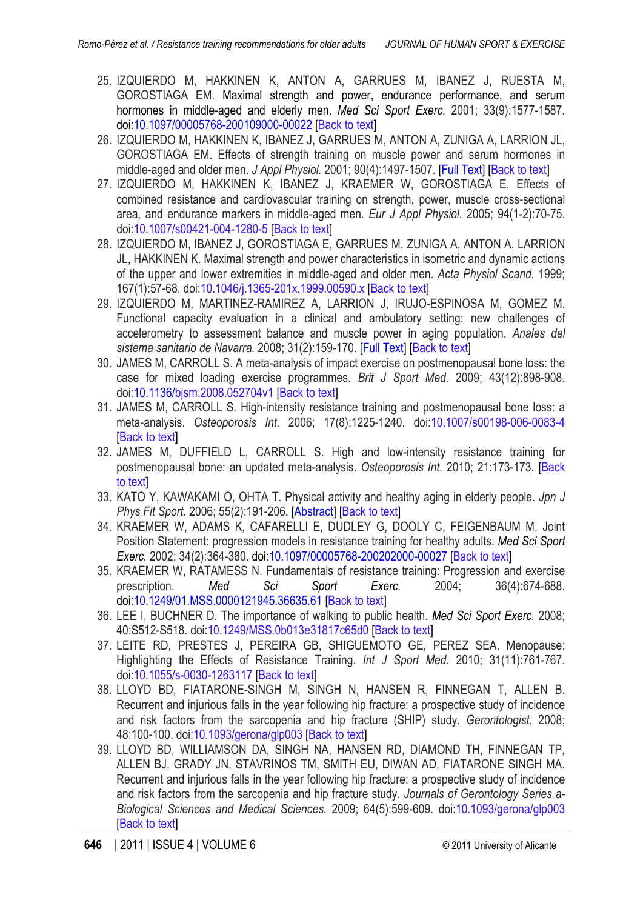- <span id="page-7-10"></span><span id="page-7-1"></span>25. IZQUIERDO M, HAKKINEN K, ANTON A, GARRUES M, IBANEZ J, RUESTA M, GOROSTIAGA EM. Maximal strength and power, endurance performance, and serum hormones in middle-aged and elderly men. *Med Sci Sport Exerc.* 2001; 33(9):1577-1587. doi[:10.1097/00005768-200109000-00022](http://dx.doi.org/10.1097/00005768-200109000-00022) [[Back to text](#page-1-0)]
- <span id="page-7-2"></span>26. IZQUIERDO M, HAKKINEN K, IBANEZ J, GARRUES M, ANTON A, ZUNIGA A, LARRION JL, GOROSTIAGA EM. Effects of strength training on muscle power and serum hormones in middle-aged and older men. *J Appl Physiol.* 2001; 90(4):1497-1507. [\[Full Text\]](http://jap.physiology.org/content/90/4/1497.full.pdf+html) [[Back to text](#page-1-0)]
- <span id="page-7-3"></span>27. IZQUIERDO M, HAKKINEN K, IBANEZ J, KRAEMER W, GOROSTIAGA E. Effects of combined resistance and cardiovascular training on strength, power, muscle cross-sectional area, and endurance markers in middle-aged men. *Eur J Appl Physiol.* 2005; 94(1-2):70-75. doi[:10.1007/s00421-004-1280-5](http://dx.doi.org/10.1007/s00421-004-1280-5) [[Back to text\]](#page-1-0)
- <span id="page-7-4"></span>28. IZQUIERDO M, IBANEZ J, GOROSTIAGA E, GARRUES M, ZUNIGA A, ANTON A, LARRION JL, HAKKINEN K. Maximal strength and power characteristics in isometric and dynamic actions of the upper and lower extremities in middle-aged and older men. *Acta Physiol Scand.* 1999; 167(1):57-68. doi[:10.1046/j.1365-201x.1999.00590.x](http://dx.doi.org/10.1046/j.1365-201x.1999.00590.x) [\[Back to text\]](#page-1-0)
- <span id="page-7-5"></span>29. IZQUIERDO M, MARTINEZ-RAMIREZ A, LARRION J, IRUJO-ESPINOSA M, GOMEZ M. Functional capacity evaluation in a clinical and ambulatory setting: new challenges of accelerometry to assessment balance and muscle power in aging population. *Anales del sistema sanitario de Navarra.* 2008; 31(2):159-170. [\[Full Text\]](http://www.cfnavarra.es/SALUD/ANALES/textos/Vol31/n2/PDF/06-Valoracion%20de%20la%20capacidad_baja.pdf) [[Back to text](#page-1-0)]
- 30. JAMES M, CARROLL S. A meta-analysis of impact exercise on postmenopausal bone loss: the case for mixed loading exercise programmes. *Brit J Sport Med.* 2009; 43(12):898-908. doi[:10.1136/bjsm.2008.052704v1](http://dx.doi.org/10.1136/bjsm.2008.052704) [[Back to text](#page-2-0)]
- 31. JAMES M, CARROLL S. High-intensity resistance training and postmenopausal bone loss: a meta-analysis. *Osteoporosis Int.* 2006; 17(8):1225-1240. doi[:10.1007/s00198-006-0083-4](http://dx.doi.org/10.1007/s00198-006-0083-4) [[Back to text](#page-2-0)]
- <span id="page-7-9"></span>32. JAMES M, DUFFIELD L, CARROLL S. High and low-intensity resistance training for postmenopausal bone: an updated meta-analysis. *Osteoporosis Int.* 2010; 21:173-173. [\[Back](#page-2-0) [to text\]](#page-2-0)
- <span id="page-7-11"></span>33. KATO Y, KAWAKAMI O, OHTA T. Physical activity and healthy aging in elderly people. *Jpn J Phys Fit Sport.* 2006; 55(2):191-206. [\[Abstract\]](http://sciencelinks.jp/j-east/article/200614/000020061406A0270370.php) [[Back to text](#page-4-0)]
- <span id="page-7-12"></span>34. KRAEMER W, ADAMS K, CAFARELLI E, DUDLEY G, DOOLY C, FEIGENBAUM M. Joint Position Statement: progression models in resistance training for healthy adults. *Med Sci Sport Exerc.* 2002; 34(2):364-380. doi[:10.1097/00005768-200202000-00027](http://dx.doi.org/10.1097/00005768-200202000-00027) [[Back to text](#page-5-5)]
- <span id="page-7-13"></span>35. KRAEMER W, RATAMESS N. Fundamentals of resistance training: Progression and exercise prescription. *Med Sci Sport Exerc.* 2004; 36(4):674-688. doi[:10.1249/01.MSS.0000121945.36635.61](http://dx.doi.org/10.1249/01.MSS.0000121945.36635.61) [[Back to text](#page-5-5)]
- <span id="page-7-0"></span>36. LEE I, BUCHNER D. The importance of walking to public health. *Med Sci Sport Exerc.* 2008; 40:S512-S518. doi[:10.1249/MSS.0b013e31817c65d0](http://dx.doi.org/10.1249/MSS.0b013e31817c65d0) [\[Back to text](#page-1-0)]
- <span id="page-7-6"></span>37. LEITE RD, PRESTES J, PEREIRA GB, SHIGUEMOTO GE, PEREZ SEA. Menopause: Highlighting the Effects of Resistance Training. *Int J Sport Med.* 2010; 31(11):761-767. doi[:10.1055/s-0030-1263117](http://dx.doi.org/10.1055/s-0030-1263117) [\[Back to text\]](#page-1-0)
- <span id="page-7-7"></span>38. LLOYD BD, FIATARONE-SINGH M, SINGH N, HANSEN R, FINNEGAN T, ALLEN B. Recurrent and injurious falls in the year following hip fracture: a prospective study of incidence and risk factors from the sarcopenia and hip fracture (SHIP) study. *Gerontologist.* 2008; 48:100-100. doi[:10.1093/gerona/glp003](http://dx.doi.org/10.1093/gerona/glp003) [[Back to text](#page-1-0)]
- <span id="page-7-8"></span>39. LLOYD BD, WILLIAMSON DA, SINGH NA, HANSEN RD, DIAMOND TH, FINNEGAN TP, ALLEN BJ, GRADY JN, STAVRINOS TM, SMITH EU, DIWAN AD, FIATARONE SINGH MA. Recurrent and injurious falls in the year following hip fracture: a prospective study of incidence and risk factors from the sarcopenia and hip fracture study. *Journals of Gerontology Series a-Biological Sciences and Medical Sciences.* 2009; 64(5):599-609. doi[:10.1093/gerona/glp003](http://dx.doi.org/10.1093/gerona/glp003) **I[Back to text](#page-1-0)l**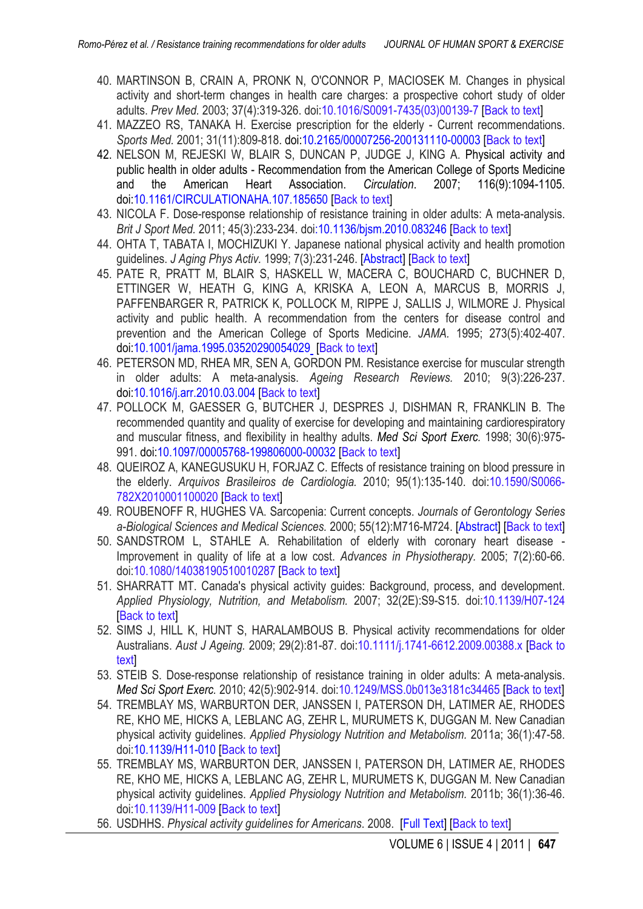- <span id="page-8-4"></span>40. MARTINSON B, CRAIN A, PRONK N, O'CONNOR P, MACIOSEK M. Changes in physical activity and short-term changes in health care charges: a prospective cohort study of older adults. *Prev Med.* 2003; 37(4):319-326. doi[:10.1016/S0091-7435\(03\)00139-7](http://dx.doi.org/10.1016/S0091-7435%2803%2900139-7) [[Back to text](#page-1-0)]
- <span id="page-8-3"></span>41. MAZZEO RS, TANAKA H. Exercise prescription for the elderly - Current recommendations. *Sports Med.* 2001; 31(11):809-818. doi[:10.2165/00007256-200131110-00003](http://dx.doi.org/10.2165/00007256-200131110-00003) [\[Back to text\]](#page-1-0)
- 42. NELSON M, REJESKI W, BLAIR S, DUNCAN P, JUDGE J, KING A. Physical activity and public health in older adults - Recommendation from the American College of Sports Medicine<br>and the American Heart Association. *Circulation*. 2007: 116(9):1094-1105. and the American Heart Association. *Circulation*. 2007; 116(9):1094-1105. doi[:10.1161/CIRCULATIONAHA.107.185650](http://dx.doi.org/10.1161/CIRCULATIONAHA.107.185650) [\[Back to text\]](#page-3-0)
- <span id="page-8-5"></span>43. NICOLA F. Dose-response relationship of resistance training in older adults: A meta-analysis. *Brit J Sport Med.* 2011; 45(3):233-234. do[i:10.1136/bjsm.2010.083246](http://dx.doi.org/10.1136/bjsm.2010.083246) [\[Back to text\]](#page-2-0)
- <span id="page-8-13"></span>44. OHTA T, TABATA I, MOCHIZUKI Y. Japanese national physical activity and health promotion guidelines. *J Aging Phys Activ.* 1999; 7(3):231-246. [\[Abstract\]](http://journals.humankinetics.com/japa-back-issues/japavolume7issue3july/japanesenationalphysicalactivityandhealthpromotionguidelines) [[Back to text](#page-4-0)]
- 45. PATE R, PRATT M, BLAIR S, HASKELL W, MACERA C, BOUCHARD C, BUCHNER D, ETTINGER W, HEATH G, KING A, KRISKA A, LEON A, MARCUS B, MORRIS J, PAFFENBARGER R, PATRICK K, POLLOCK M, RIPPE J, SALLIS J, WILMORE J. Physical activity and public health. A recommendation from the centers for disease control and prevention and the American College of Sports Medicine. *JAMA.* 1995; 273(5):402-407. doi[:10.1001/jama.1995.03520290054029](http://dx.doi.org/10.1001/jama.1995.03520290054029) [[Back to text](#page-3-0)]
- <span id="page-8-1"></span>46. PETERSON MD, RHEA MR, SEN A, GORDON PM. Resistance exercise for muscular strength in older adults: A meta-analysis. *Ageing Research Reviews.* 2010; 9(3):226-237. doi[:10.1016/j.arr.2010.03.004](http://dx.doi.org/10.1016/j.arr.2010.03.004) [\[Back to text](#page-1-0)]
- <span id="page-8-10"></span>47. POLLOCK M, GAESSER G, BUTCHER J, DESPRES J, DISHMAN R, FRANKLIN B. The recommended quantity and quality of exercise for developing and maintaining cardiorespiratory and muscular fitness, and flexibility in healthy adults. *Med Sci Sport Exerc.* 1998; 30(6):975- 991. doi[:10.1097/00005768-199806000-00032](http://dx.doi.org/10.1097/00005768-199806000-00032) [\[Back to text\]](#page-3-0)
- <span id="page-8-14"></span>48. QUEIROZ A, KANEGUSUKU H, FORJAZ C. Effects of resistance training on blood pressure in the elderly. *Arquivos Brasileiros de Cardiologia.* 2010; 95(1):135-140. doi[:10.1590/S0066-](http://dx.doi.org/10.1590/S0066-782X2010001100020) [782X2010001100020](http://dx.doi.org/10.1590/S0066-782X2010001100020) [[Back to text](#page-5-5)]
- <span id="page-8-2"></span>49. ROUBENOFF R, HUGHES VA. Sarcopenia: Current concepts. *Journals of Gerontology Series a-Biological Sciences and Medical Sciences.* 2000; 55(12):M716-M724. [\[Abstract\]](http://www.ncbi.nlm.nih.gov/pubmed/11129393) [\[Back to text\]](#page-1-0)
- <span id="page-8-0"></span>50. SANDSTROM L, STAHLE A. Rehabilitation of elderly with coronary heart disease - Improvement in quality of life at a low cost. *Advances in Physiotherapy.* 2005; 7(2):60-66. doi[:10.1080/14038190510010287](http://dx.doi.org/10.1080/14038190510010287) [[Back to text](#page-1-0)]
- <span id="page-8-7"></span>51. SHARRATT MT. Canada's physical activity guides: Background, process, and development. *Applied Physiology, Nutrition, and Metabolism.* 2007; 32(2E):S9-S15. doi[:10.1139/H07-124](http://dx.doi.org/10.1139/H07-124) [[Back to text](#page-2-0)]
- <span id="page-8-12"></span>52. SIMS J, HILL K, HUNT S, HARALAMBOUS B. Physical activity recommendations for older Australians. *Aust J Ageing.* 2009; 29(2):81-87. doi[:10.1111/j.1741-6612.2009.00388.x](http://dx.doi.org/10.1111/j.1741-6612.2009.00388.x) [[Back to](#page-3-0) [text\]](#page-3-0)
- <span id="page-8-6"></span>53. STEIB S. Dose-response relationship of resistance training in older adults: A meta-analysis. *Med Sci Sport Exerc.* 2010; 42(5):902-914. doi[:10.1249/MSS.0b013e3181c34465](http://dx.doi.org/10.1249/MSS.0b013e3181c34465) [[Back to text\]](#page-2-0)
- <span id="page-8-8"></span>54. TREMBLAY MS, WARBURTON DER, JANSSEN I, PATERSON DH, LATIMER AE, RHODES RE, KHO ME, HICKS A, LEBLANC AG, ZEHR L, MURUMETS K, DUGGAN M. New Canadian physical activity guidelines. *Applied Physiology Nutrition and Metabolism.* 2011a; 36(1):47-58. doi[:10.1139/H11-010](http://dx.doi.org/10.1139/H11-010) [\[Back to text\]](#page-2-0)
- <span id="page-8-9"></span>55. TREMBLAY MS, WARBURTON DER, JANSSEN I, PATERSON DH, LATIMER AE, RHODES RE, KHO ME, HICKS A, LEBLANC AG, ZEHR L, MURUMETS K, DUGGAN M. New Canadian physical activity guidelines. *Applied Physiology Nutrition and Metabolism.* 2011b; 36(1):36-46. doi[:10.1139/H11-009](http://dx.doi.org/10.1139/H11-009) [\[Back to text\]](#page-2-0)
- <span id="page-8-11"></span>56. USDHHS. *Physical activity guidelines for Americans*. 2008. [\[Full Text\]](http://www.health.gov/PAGuidelines) [\[Back to text\]](#page-3-0)